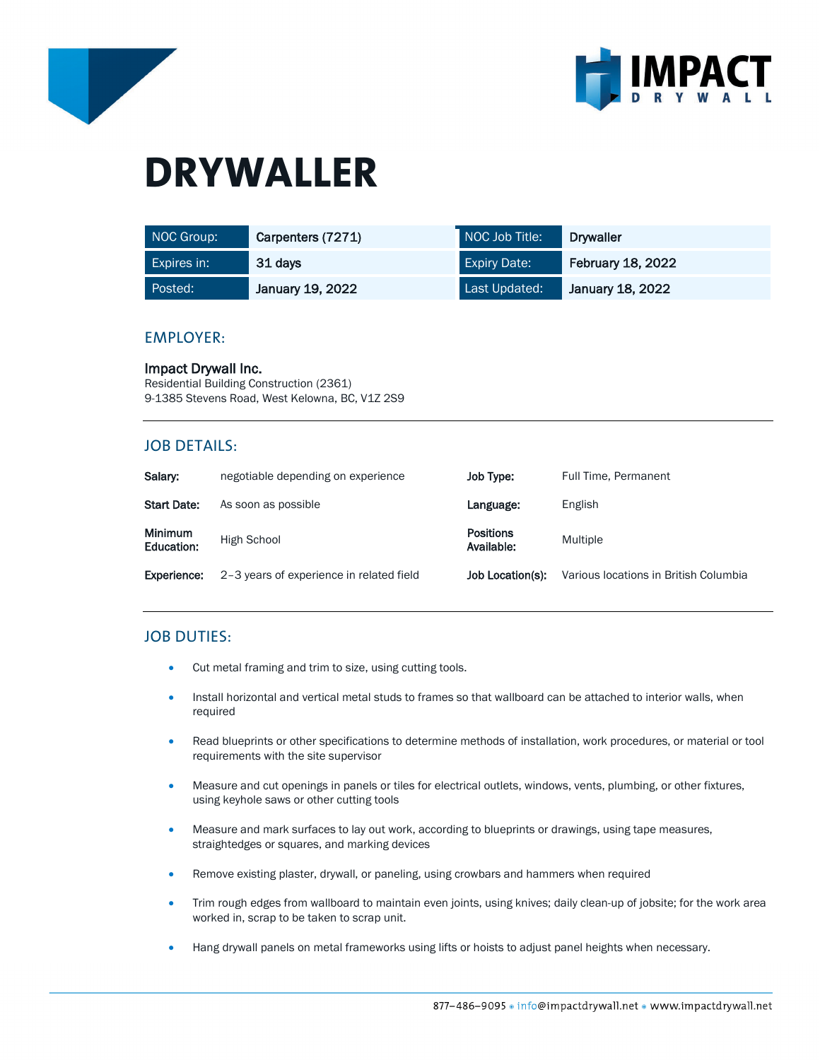



# **DRYWALLER**

| NOC Group:  | Carpenters (7271) | NOC Job Title:      | <b>Drywaller</b>         |
|-------------|-------------------|---------------------|--------------------------|
| Expires in: | 31 days           | <b>Expiry Date:</b> | <b>February 18, 2022</b> |
| Posted:     | January 19, 2022  | Last Updated:       | January 18, 2022         |

## EMPLOYER:

Impact Drywall Inc. Residential Building Construction (2361) 9-1385 Stevens Road, West Kelowna, BC, V1Z 2S9

# JOB DETAILS:

| Salary:                      | negotiable depending on experience       | Job Type:                      | Full Time, Permanent                  |
|------------------------------|------------------------------------------|--------------------------------|---------------------------------------|
| <b>Start Date:</b>           | As soon as possible                      | Language:                      | English                               |
| <b>Minimum</b><br>Education: | High School                              | <b>Positions</b><br>Available: | Multiple                              |
| Experience:                  | 2-3 years of experience in related field | Job Location(s):               | Various locations in British Columbia |

# JOB DUTIES:

- Cut metal framing and trim to size, using cutting tools.
- Install horizontal and vertical metal studs to frames so that wallboard can be attached to interior walls, when required
- Read blueprints or other specifications to determine methods of installation, work procedures, or material or tool requirements with the site supervisor
- Measure and cut openings in panels or tiles for electrical outlets, windows, vents, plumbing, or other fixtures, using keyhole saws or other cutting tools
- Measure and mark surfaces to lay out work, according to blueprints or drawings, using tape measures, straightedges or squares, and marking devices
- Remove existing plaster, drywall, or paneling, using crowbars and hammers when required
- Trim rough edges from wallboard to maintain even joints, using knives; daily clean-up of jobsite; for the work area worked in, scrap to be taken to scrap unit.
- Hang drywall panels on metal frameworks using lifts or hoists to adjust panel heights when necessary.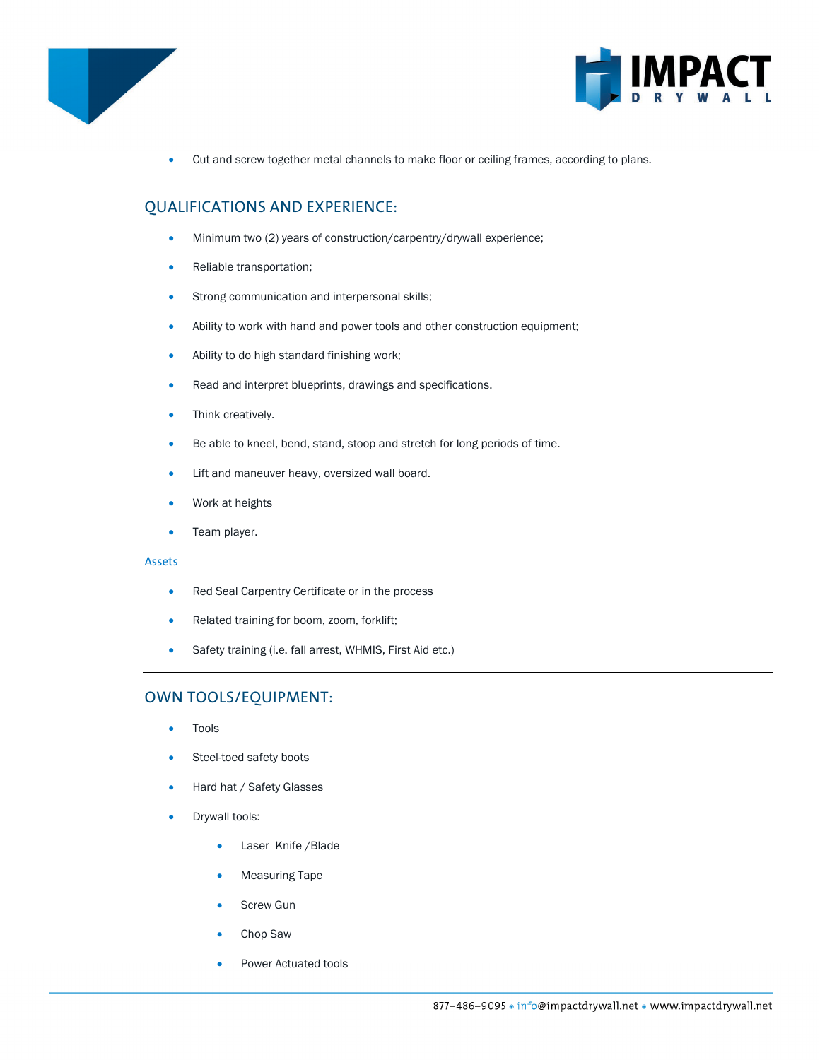



• Cut and screw together metal channels to make floor or ceiling frames, according to plans.

# QUALIFICATIONS AND EXPERIENCE:

- Minimum two (2) years of construction/carpentry/drywall experience;
- Reliable transportation;
- Strong communication and interpersonal skills;
- Ability to work with hand and power tools and other construction equipment;
- Ability to do high standard finishing work;
- Read and interpret blueprints, drawings and specifications.
- Think creatively.
- Be able to kneel, bend, stand, stoop and stretch for long periods of time.
- Lift and maneuver heavy, oversized wall board.
- Work at heights
- Team player.

### Assets

- Red Seal Carpentry Certificate or in the process
- Related training for boom, zoom, forklift;
- Safety training (i.e. fall arrest, WHMIS, First Aid etc.)

# OWN TOOLS/EQUIPMENT:

- **Tools**
- Steel-toed safety boots
- Hard hat / Safety Glasses
- Drywall tools:
	- Laser Knife / Blade
	- Measuring Tape
	- Screw Gun
	- Chop Saw
	- Power Actuated tools